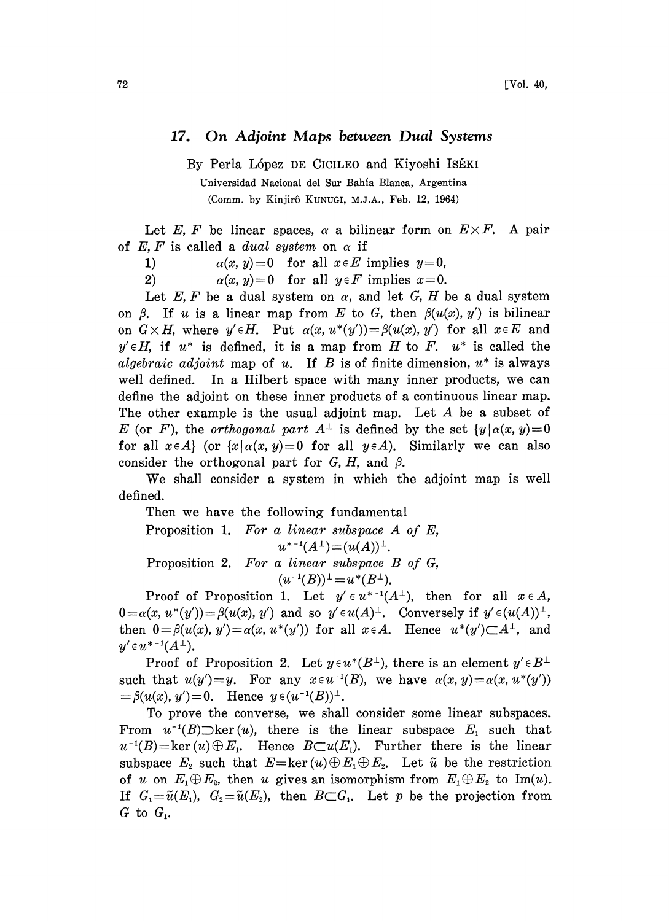## 17. On Adjoint Maps between Dual Systems

By Perla López DE CICILEO and Kiyoshi ISÉKI Universidad Nacional del Sur Bahia Blanca, Argentina (Comm. by Kinjir6 KUNUGI, M.J.A., Feb. 12, 1964)

Let E, F be linear spaces,  $\alpha$  a bilinear form on  $E \times F$ . A pair of E, F is called a dual system on  $\alpha$  if

1)  $\alpha(x, y)=0$  for all  $x \in E$  implies  $y=0$ ,

2)  $\alpha(x, y)=0$  for all  $y \in F$  implies  $x=0$ .

Let E, F be a dual system on  $\alpha$ , and let G, H be a dual system on  $\beta$ . If u is a linear map from E to G, then  $\beta(u(x), y')$  is bilinear on  $G \times H$ , where  $y' \in H$ . Put  $\alpha(x, u^*(y')) = \beta(u(x), y')$  for all  $x \in E$  and  $y' \in H$ , if  $u^*$  is defined, it is a map from H to F.  $u^*$  is called the algebraic adjoint map of u. If B is of finite dimension,  $u^*$  is always well defined. In a Hilbert space with many inner products, we can define the adjoint on these inner products of a continuous linear map. The other example is the usual adjoint map. Let  $A$  be a subset of E (or F), the *orthogonal part*  $A^{\perp}$  is defined by the set  $\{y | \alpha(x, y)=0\}$ for all  $x \in A$  (or  $\{x \mid \alpha(x, y) = 0\}$  for all  $y \in A$ ). Similarly we can also consider the orthogonal part for  $G, H$ , and  $\beta$ .

We shall consider <sup>a</sup> system in which the adjoint map is well defined.

Then we have the following fundamental

Proposition 1. For a linear subspace A of E,  $u^{*-1}(A^{\perp})=(u(A))^{\perp}.$ Proposition 2. For a linear subspace B of G,  $(u^{-1}(B))^{\perp} = u^*(B^{\perp}).$ 

Proof of Proposition 1. Let  $y' \in u^{*-1}(A^{\perp})$ , then for all  $x \in A$ ,  $0=\alpha(x, u^*(y'))=\beta(u(x), y')$  and so  $y'\in u(A)^{\perp}$ . Conversely if  $y'\in (u(A))^{\perp}$ , then  $0 = \beta(u(x), y') = \alpha(x, u^*(y'))$  for all  $x \in A$ . Hence  $u^*(y') \subset A^{\perp}$ , and  $y' \in u^{*-1}(A^{\perp}).$ 

Proof of Proposition 2. Let  $y \in u^*(B^{\perp})$ , there is an element  $y' \in B^{\perp}$ such that  $u(y')=y$ . For any  $x \in u^{-1}(B)$ , we have  $\alpha(x, y) = \alpha(x, u^*(y'))$  $=\beta(u(x), y')=0.$  Hence  $y \in (u^{-1}(B))^{\perp}.$ 

To prove the converse, we shall consider some linear subspaces. From  $u^{-1}(B)$  ker $(u)$ , there is the linear subspace  $E_1$  such that  $u^{-1}(B) = \ker(u) \oplus E_1$ . Hence  $B \subset u(E_1)$ . Further there is the linear subspace  $E_2$  such that  $E=\ker(u)\oplus E_1\oplus E_2$ . Let  $\tilde{u}$  be the restriction of u on  $E_1 \oplus E_2$ , then u gives an isomorphism from  $E_1 \oplus E_2$  to Im(u). If  $G_1=\tilde{u}(E_1), G_2=\tilde{u}(E_2),$  then  $B\subset G_1$ . Let p be the projection from  $G$  to  $G_i$ .